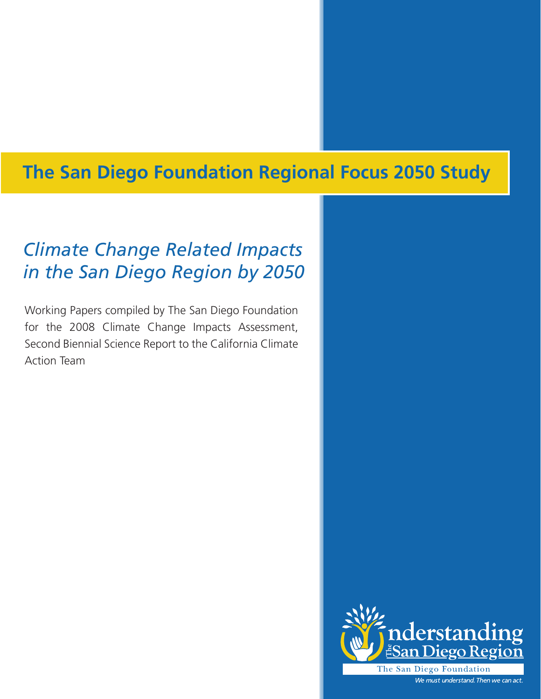# **The San Diego Foundation Regional Focus 2050 Study**

# *Climate Change Related Impacts in the San Diego Region by 2050*

Working Papers compiled by The San Diego Foundation for the 2008 Climate Change Impacts Assessment, Second Biennial Science Report to the California Climate Action Team

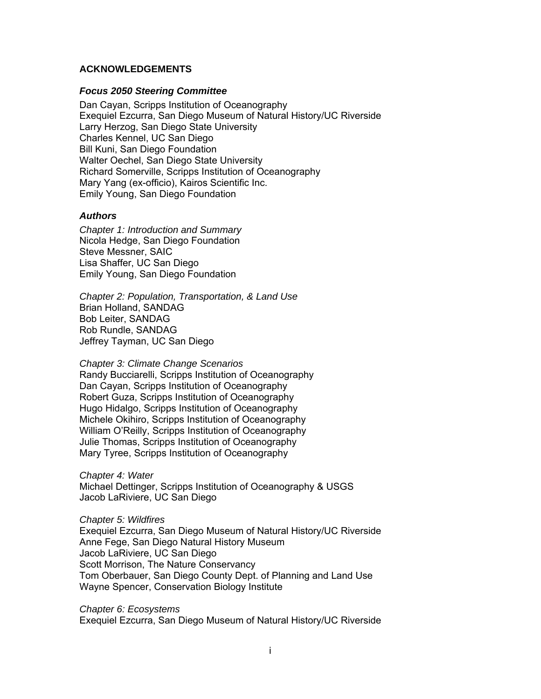#### **ACKNOWLEDGEMENTS**

#### *Focus 2050 Steering Committee*

Dan Cayan, Scripps Institution of Oceanography Exequiel Ezcurra, San Diego Museum of Natural History/UC Riverside Larry Herzog, San Diego State University Charles Kennel, UC San Diego Bill Kuni, San Diego Foundation Walter Oechel, San Diego State University Richard Somerville, Scripps Institution of Oceanography Mary Yang (ex-officio), Kairos Scientific Inc. Emily Young, San Diego Foundation

#### *Authors*

*Chapter 1: Introduction and Summary*  Nicola Hedge, San Diego Foundation Steve Messner, SAIC Lisa Shaffer, UC San Diego Emily Young, San Diego Foundation

*Chapter 2: Population, Transportation, & Land Use*  Brian Holland, SANDAG Bob Leiter, SANDAG Rob Rundle, SANDAG Jeffrey Tayman, UC San Diego

*Chapter 3: Climate Change Scenarios*  Randy Bucciarelli, Scripps Institution of Oceanography Dan Cayan, Scripps Institution of Oceanography Robert Guza, Scripps Institution of Oceanography Hugo Hidalgo, Scripps Institution of Oceanography Michele Okihiro, Scripps Institution of Oceanography William O'Reilly, Scripps Institution of Oceanography Julie Thomas, Scripps Institution of Oceanography Mary Tyree, Scripps Institution of Oceanography

*Chapter 4: Water*  Michael Dettinger, Scripps Institution of Oceanography & USGS Jacob LaRiviere, UC San Diego

*Chapter 5: Wildfires*  Exequiel Ezcurra, San Diego Museum of Natural History/UC Riverside Anne Fege, San Diego Natural History Museum Jacob LaRiviere, UC San Diego Scott Morrison, The Nature Conservancy Tom Oberbauer, San Diego County Dept. of Planning and Land Use Wayne Spencer, Conservation Biology Institute

*Chapter 6: Ecosystems*  Exequiel Ezcurra, San Diego Museum of Natural History/UC Riverside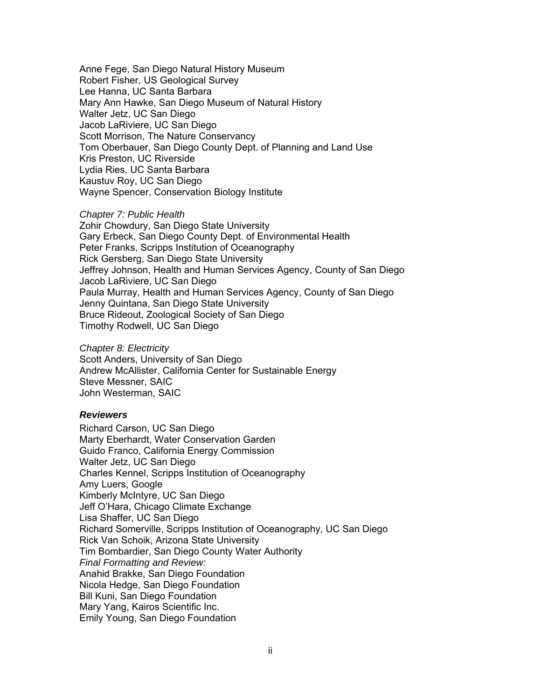Anne Fege, San Diego Natural History Museum Robert Fisher, US Geological Survey Lee Hanna, UC Santa Barbara Mary Ann Hawke, San Diego Museum of Natural History Walter Jetz, UC San Diego Jacob LaRiviere, UC San Diego Scott Morrison, The Nature Conservancy Tom Oberbauer, San Diego County Dept. of Planning and Land Use Kris Preston, UC Riverside Lydia Ries, UC Santa Barbara Kaustuv Roy, UC San Diego Wayne Spencer, Conservation Biology Institute

#### *Chapter 7: Public Health*

Zohir Chowdury, San Diego State University Gary Erbeck, San Diego County Dept. of Environmental Health Peter Franks, Scripps Institution of Oceanography Rick Gersberg, San Diego State University Jeffrey Johnson, Health and Human Services Agency, County of San Diego Jacob LaRiviere, UC San Diego Paula Murray, Health and Human Services Agency, County of San Diego Jenny Quintana, San Diego State University Bruce Rideout, Zoological Society of San Diego Timothy Rodwell, UC San Diego

#### *Chapter 8: Electricity*

Scott Anders, University of San Diego Andrew McAllister, California Center for Sustainable Energy Steve Messner, SAIC John Westerman, SAIC

#### *Reviewers*

Richard Carson, UC San Diego Marty Eberhardt, Water Conservation Garden Guido Franco, California Energy Commission Walter Jetz, UC San Diego Charles Kennel, Scripps Institution of Oceanography Amy Luers, Google Kimberly McIntyre, UC San Diego Jeff O'Hara, Chicago Climate Exchange Lisa Shaffer, UC San Diego Richard Somerville, Scripps Institution of Oceanography, UC San Diego Rick Van Schoik, Arizona State University Tim Bombardier, San Diego County Water Authority *Final Formatting and Review:*  Anahid Brakke, San Diego Foundation Nicola Hedge, San Diego Foundation Bill Kuni, San Diego Foundation Mary Yang, Kairos Scientific Inc. Emily Young, San Diego Foundation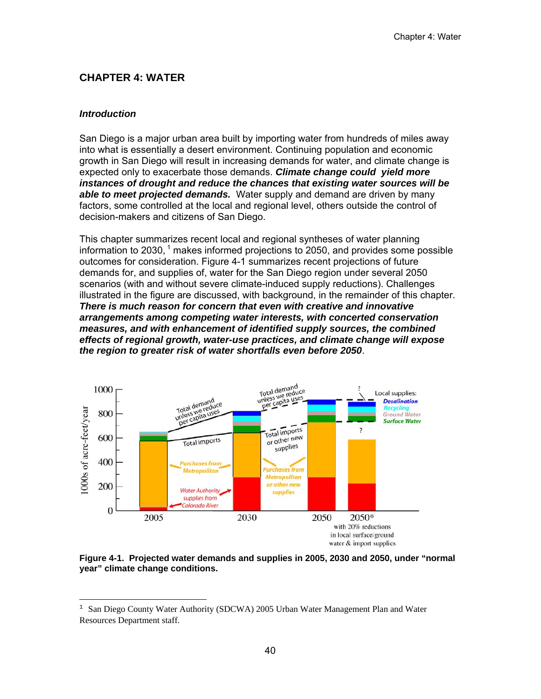# **CHAPTER 4: WATER**

### *Introduction*

San Diego is a major urban area built by importing water from hundreds of miles away into what is essentially a desert environment. Continuing population and economic growth in San Diego will result in increasing demands for water, and climate change is expected only to exacerbate those demands. *Climate change could yield more instances of drought and reduce the chances that existing water sources will be able to meet projected demands.* Water supply and demand are driven by many factors, some controlled at the local and regional level, others outside the control of decision-makers and citizens of San Diego.

This chapter summarizes recent local and regional syntheses of water planning information to 2030,  $1$  makes informed projections to 2050, and provides some possible outcomes for consideration. Figure 4-1 summarizes recent projections of future demands for, and supplies of, water for the San Diego region under several 2050 scenarios (with and without severe climate-induced supply reductions). Challenges illustrated in the figure are discussed, with background, in the remainder of this chapter. *There is much reason for concern that even with creative and innovative arrangements among competing water interests, with concerted conservation measures, and with enhancement of identified supply sources, the combined effects of regional growth, water-use practices, and climate change will expose the region to greater risk of water shortfalls even before 2050*.



#### **Figure 4-1. Projected water demands and supplies in 2005, 2030 and 2050, under "normal year" climate change conditions.**

 $1$  San Diego County Water Authority (SDCWA) 2005 Urban Water Management Plan and Water Resources Department staff.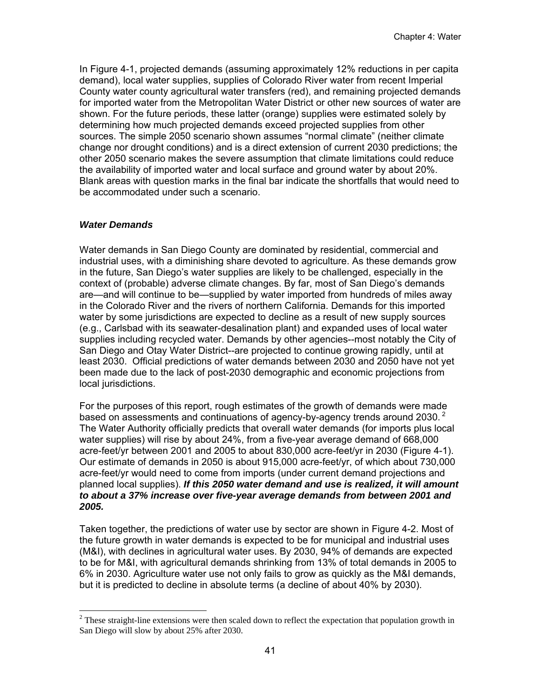In Figure 4-1, projected demands (assuming approximately 12% reductions in per capita demand), local water supplies, supplies of Colorado River water from recent Imperial County water county agricultural water transfers (red), and remaining projected demands for imported water from the Metropolitan Water District or other new sources of water are shown. For the future periods, these latter (orange) supplies were estimated solely by determining how much projected demands exceed projected supplies from other sources. The simple 2050 scenario shown assumes "normal climate" (neither climate change nor drought conditions) and is a direct extension of current 2030 predictions; the other 2050 scenario makes the severe assumption that climate limitations could reduce the availability of imported water and local surface and ground water by about 20%. Blank areas with question marks in the final bar indicate the shortfalls that would need to be accommodated under such a scenario.

# *Water Demands*

Water demands in San Diego County are dominated by residential, commercial and industrial uses, with a diminishing share devoted to agriculture. As these demands grow in the future, San Diego's water supplies are likely to be challenged, especially in the context of (probable) adverse climate changes. By far, most of San Diego's demands are—and will continue to be—supplied by water imported from hundreds of miles away in the Colorado River and the rivers of northern California. Demands for this imported water by some jurisdictions are expected to decline as a result of new supply sources (e.g., Carlsbad with its seawater-desalination plant) and expanded uses of local water supplies including recycled water. Demands by other agencies--most notably the City of San Diego and Otay Water District--are projected to continue growing rapidly, until at least 2030. Official predictions of water demands between 2030 and 2050 have not yet been made due to the lack of post-2030 demographic and economic projections from local jurisdictions.

For the purposes of this report, rough estimates of the growth of demands were made based on assessments and continuations of agency-by-agency trends around 2030.<sup>2</sup> The Water Authority officially predicts that overall water demands (for imports plus local water supplies) will rise by about 24%, from a five-year average demand of 668,000 acre-feet/yr between 2001 and 2005 to about 830,000 acre-feet/yr in 2030 (Figure 4-1). Our estimate of demands in 2050 is about 915,000 acre-feet/yr, of which about 730,000 acre-feet/yr would need to come from imports (under current demand projections and planned local supplies). *If this 2050 water demand and use is realized, it will amount to about a 37% increase over five-year average demands from between 2001 and 2005.*

Taken together, the predictions of water use by sector are shown in Figure 4-2. Most of the future growth in water demands is expected to be for municipal and industrial uses (M&I), with declines in agricultural water uses. By 2030, 94% of demands are expected to be for M&I, with agricultural demands shrinking from 13% of total demands in 2005 to 6% in 2030. Agriculture water use not only fails to grow as quickly as the M&I demands, but it is predicted to decline in absolute terms (a decline of about 40% by 2030).

 $2^2$  These straight-line extensions were then scaled down to reflect the expectation that population growth in San Diego will slow by about 25% after 2030.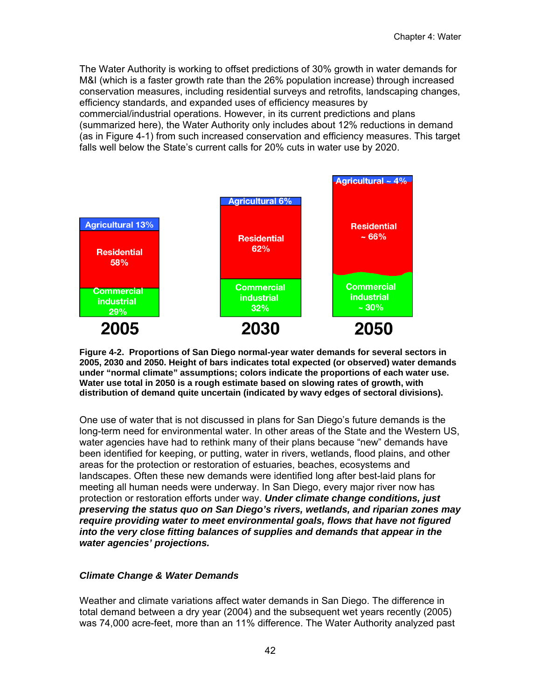The Water Authority is working to offset predictions of 30% growth in water demands for M&I (which is a faster growth rate than the 26% population increase) through increased conservation measures, including residential surveys and retrofits, landscaping changes, efficiency standards, and expanded uses of efficiency measures by commercial/industrial operations. However, in its current predictions and plans (summarized here), the Water Authority only includes about 12% reductions in demand (as in Figure 4-1) from such increased conservation and efficiency measures. This target falls well below the State's current calls for 20% cuts in water use by 2020.



**Figure 4-2. Proportions of San Diego normal-year water demands for several sectors in 2005, 2030 and 2050. Height of bars indicates total expected (or observed) water demands under "normal climate" assumptions; colors indicate the proportions of each water use. Water use total in 2050 is a rough estimate based on slowing rates of growth, with distribution of demand quite uncertain (indicated by wavy edges of sectoral divisions).** 

One use of water that is not discussed in plans for San Diego's future demands is the long-term need for environmental water. In other areas of the State and the Western US, water agencies have had to rethink many of their plans because "new" demands have been identified for keeping, or putting, water in rivers, wetlands, flood plains, and other areas for the protection or restoration of estuaries, beaches, ecosystems and landscapes. Often these new demands were identified long after best-laid plans for meeting all human needs were underway. In San Diego, every major river now has protection or restoration efforts under way. *Under climate change conditions, just preserving the status quo on San Diego's rivers, wetlands, and riparian zones may require providing water to meet environmental goals, flows that have not figured into the very close fitting balances of supplies and demands that appear in the water agencies' projections.* 

# *Climate Change & Water Demands*

Weather and climate variations affect water demands in San Diego. The difference in total demand between a dry year (2004) and the subsequent wet years recently (2005) was 74,000 acre-feet, more than an 11% difference. The Water Authority analyzed past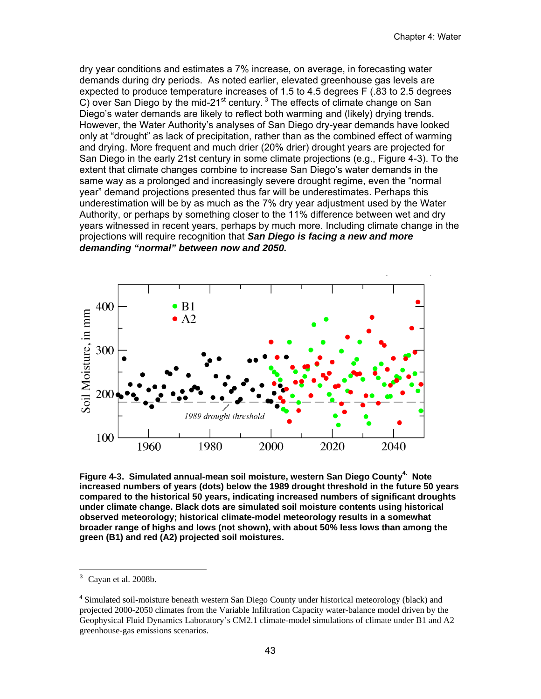dry year conditions and estimates a 7% increase, on average, in forecasting water demands during dry periods. As noted earlier, elevated greenhouse gas levels are expected to produce temperature increases of 1.5 to 4.5 degrees F (.83 to 2.5 degrees C) over San Diego by the mid-21 $st$  century.<sup>3</sup> The effects of climate change on San Diego's water demands are likely to reflect both warming and (likely) drying trends. However, the Water Authority's analyses of San Diego dry-year demands have looked only at "drought" as lack of precipitation, rather than as the combined effect of warming and drying. More frequent and much drier (20% drier) drought years are projected for San Diego in the early 21st century in some climate projections (e.g., Figure 4-3). To the extent that climate changes combine to increase San Diego's water demands in the same way as a prolonged and increasingly severe drought regime, even the "normal year" demand projections presented thus far will be underestimates. Perhaps this underestimation will be by as much as the 7% dry year adjustment used by the Water Authority, or perhaps by something closer to the 11% difference between wet and dry years witnessed in recent years, perhaps by much more. Including climate change in the projections will require recognition that *San Diego is facing a new and more demanding "normal" between now and 2050.* 



Figure 4-3. Simulated annual-mean soil moisture, western San Diego County<sup>4.</sup> Note **increased numbers of years (dots) below the 1989 drought threshold in the future 50 years compared to the historical 50 years, indicating increased numbers of significant droughts under climate change. Black dots are simulated soil moisture contents using historical observed meteorology; historical climate-model meteorology results in a somewhat broader range of highs and lows (not shown), with about 50% less lows than among the green (B1) and red (A2) projected soil moistures.** 

Cayan et al. 2008b.

<sup>&</sup>lt;sup>4</sup> Simulated soil-moisture beneath western San Diego County under historical meteorology (black) and projected 2000-2050 climates from the Variable Infiltration Capacity water-balance model driven by the Geophysical Fluid Dynamics Laboratory's CM2.1 climate-model simulations of climate under B1 and A2 greenhouse-gas emissions scenarios.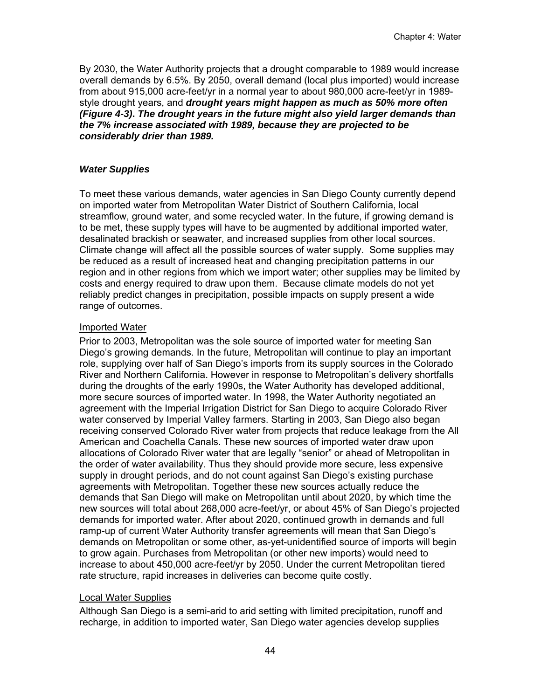By 2030, the Water Authority projects that a drought comparable to 1989 would increase overall demands by 6.5%. By 2050, overall demand (local plus imported) would increase from about 915,000 acre-feet/yr in a normal year to about 980,000 acre-feet/yr in 1989 style drought years, and *drought years might happen as much as 50% more often (Figure 4-3)***.** *The drought years in the future might also yield larger demands than the 7% increase associated with 1989, because they are projected to be considerably drier than 1989.* 

#### *Water Supplies*

To meet these various demands, water agencies in San Diego County currently depend on imported water from Metropolitan Water District of Southern California, local streamflow, ground water, and some recycled water. In the future, if growing demand is to be met, these supply types will have to be augmented by additional imported water, desalinated brackish or seawater, and increased supplies from other local sources. Climate change will affect all the possible sources of water supply. Some supplies may be reduced as a result of increased heat and changing precipitation patterns in our region and in other regions from which we import water; other supplies may be limited by costs and energy required to draw upon them. Because climate models do not yet reliably predict changes in precipitation, possible impacts on supply present a wide range of outcomes.

### Imported Water

Prior to 2003, Metropolitan was the sole source of imported water for meeting San Diego's growing demands. In the future, Metropolitan will continue to play an important role, supplying over half of San Diego's imports from its supply sources in the Colorado River and Northern California. However in response to Metropolitan's delivery shortfalls during the droughts of the early 1990s, the Water Authority has developed additional, more secure sources of imported water. In 1998, the Water Authority negotiated an agreement with the Imperial Irrigation District for San Diego to acquire Colorado River water conserved by Imperial Valley farmers. Starting in 2003, San Diego also began receiving conserved Colorado River water from projects that reduce leakage from the All American and Coachella Canals. These new sources of imported water draw upon allocations of Colorado River water that are legally "senior" or ahead of Metropolitan in the order of water availability. Thus they should provide more secure, less expensive supply in drought periods, and do not count against San Diego's existing purchase agreements with Metropolitan. Together these new sources actually reduce the demands that San Diego will make on Metropolitan until about 2020, by which time the new sources will total about 268,000 acre-feet/yr, or about 45% of San Diego's projected demands for imported water. After about 2020, continued growth in demands and full ramp-up of current Water Authority transfer agreements will mean that San Diego's demands on Metropolitan or some other, as-yet-unidentified source of imports will begin to grow again. Purchases from Metropolitan (or other new imports) would need to increase to about 450,000 acre-feet/yr by 2050. Under the current Metropolitan tiered rate structure, rapid increases in deliveries can become quite costly.

#### Local Water Supplies

Although San Diego is a semi-arid to arid setting with limited precipitation, runoff and recharge, in addition to imported water, San Diego water agencies develop supplies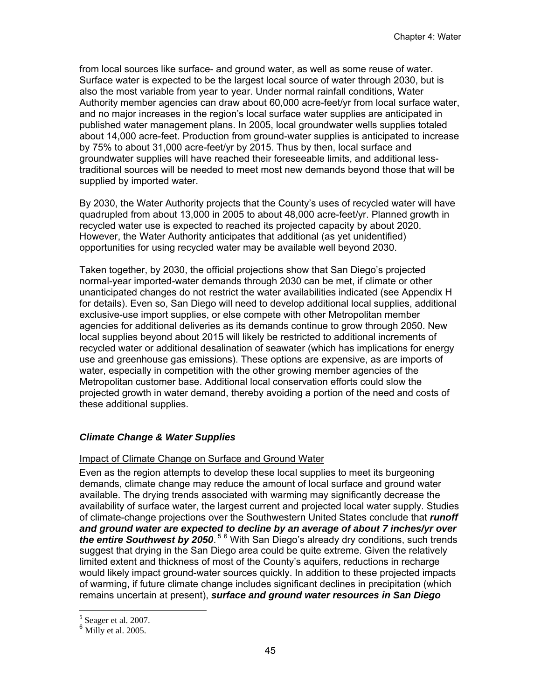from local sources like surface- and ground water, as well as some reuse of water. Surface water is expected to be the largest local source of water through 2030, but is also the most variable from year to year. Under normal rainfall conditions, Water Authority member agencies can draw about 60,000 acre-feet/yr from local surface water, and no major increases in the region's local surface water supplies are anticipated in published water management plans. In 2005, local groundwater wells supplies totaled about 14,000 acre-feet. Production from ground-water supplies is anticipated to increase by 75% to about 31,000 acre-feet/yr by 2015. Thus by then, local surface and groundwater supplies will have reached their foreseeable limits, and additional lesstraditional sources will be needed to meet most new demands beyond those that will be supplied by imported water.

By 2030, the Water Authority projects that the County's uses of recycled water will have quadrupled from about 13,000 in 2005 to about 48,000 acre-feet/yr. Planned growth in recycled water use is expected to reached its projected capacity by about 2020. However, the Water Authority anticipates that additional (as yet unidentified) opportunities for using recycled water may be available well beyond 2030.

Taken together, by 2030, the official projections show that San Diego's projected normal-year imported-water demands through 2030 can be met, if climate or other unanticipated changes do not restrict the water availabilities indicated (see Appendix H for details). Even so, San Diego will need to develop additional local supplies, additional exclusive-use import supplies, or else compete with other Metropolitan member agencies for additional deliveries as its demands continue to grow through 2050. New local supplies beyond about 2015 will likely be restricted to additional increments of recycled water or additional desalination of seawater (which has implications for energy use and greenhouse gas emissions). These options are expensive, as are imports of water, especially in competition with the other growing member agencies of the Metropolitan customer base. Additional local conservation efforts could slow the projected growth in water demand, thereby avoiding a portion of the need and costs of these additional supplies.

# *Climate Change & Water Supplies*

# Impact of Climate Change on Surface and Ground Water

Even as the region attempts to develop these local supplies to meet its burgeoning demands, climate change may reduce the amount of local surface and ground water available. The drying trends associated with warming may significantly decrease the availability of surface water, the largest current and projected local water supply. Studies of climate-change projections over the Southwestern United States conclude that *runoff and ground water are expected to decline by an average of about 7 inches/yr over*  the entire Southwest by 2050.<sup>56</sup> With San Diego's already dry conditions, such trends suggest that drying in the San Diego area could be quite extreme. Given the relatively limited extent and thickness of most of the County's aquifers, reductions in recharge would likely impact ground-water sources quickly. In addition to these projected impacts of warming, if future climate change includes significant declines in precipitation (which remains uncertain at present), *surface and ground water resources in San Diego* 

<sup>&</sup>lt;sup>5</sup> Seager et al. 2007.

Milly et al. 2005.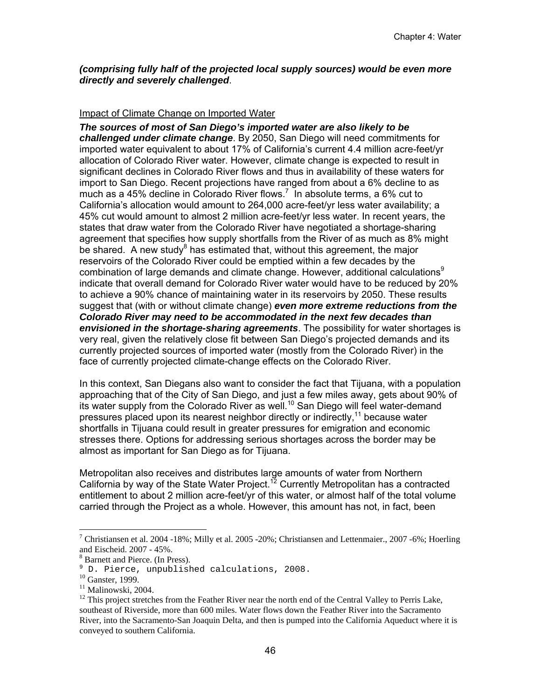### *(comprising fully half of the projected local supply sources) would be even more directly and severely challenged*.

### Impact of Climate Change on Imported Water

*The sources of most of San Diego's imported water are also likely to be challenged under climate change*. By 2050, San Diego will need commitments for imported water equivalent to about 17% of California's current 4.4 million acre-feet/yr allocation of Colorado River water. However, climate change is expected to result in significant declines in Colorado River flows and thus in availability of these waters for import to San Diego. Recent projections have ranged from about a 6% decline to as much as a 45% decline in Colorado River flows.<sup>7</sup> In absolute terms, a 6% cut to California's allocation would amount to 264,000 acre-feet/yr less water availability; a 45% cut would amount to almost 2 million acre-feet/yr less water. In recent years, the states that draw water from the Colorado River have negotiated a shortage-sharing agreement that specifies how supply shortfalls from the River of as much as 8% might be shared. A new study<sup>8</sup> has estimated that, without this agreement, the major reservoirs of the Colorado River could be emptied within a few decades by the combination of large demands and climate change. However, additional calculations<sup>9</sup> indicate that overall demand for Colorado River water would have to be reduced by 20% to achieve a 90% chance of maintaining water in its reservoirs by 2050. These results suggest that (with or without climate change) *even more extreme reductions from the Colorado River may need to be accommodated in the next few decades than envisioned in the shortage-sharing agreements*. The possibility for water shortages is very real, given the relatively close fit between San Diego's projected demands and its currently projected sources of imported water (mostly from the Colorado River) in the face of currently projected climate-change effects on the Colorado River.

In this context, San Diegans also want to consider the fact that Tijuana, with a population approaching that of the City of San Diego, and just a few miles away, gets about 90% of its water supply from the Colorado River as well.<sup>10</sup> San Diego will feel water-demand pressures placed upon its nearest neighbor directly or indirectly,<sup>11</sup> because water shortfalls in Tijuana could result in greater pressures for emigration and economic stresses there. Options for addressing serious shortages across the border may be almost as important for San Diego as for Tijuana.

Metropolitan also receives and distributes large amounts of water from Northern California by way of the State Water Project.<sup>12</sup> Currently Metropolitan has a contracted entitlement to about 2 million acre-feet/yr of this water, or almost half of the total volume carried through the Project as a whole. However, this amount has not, in fact, been

<sup>&</sup>lt;sup>7</sup> Christiansen et al. 2004 -18%; Milly et al. 2005 -20%; Christiansen and Lettenmaier., 2007 -6%; Hoerling and Eischeid. 2007 - 45%.

<sup>8</sup> Barnett and Pierce. (In Press).

<sup>9</sup> D. Pierce, unpublished calculations, 2008.

<sup>&</sup>lt;sup>10</sup> Ganster, 1999.

<sup>&</sup>lt;sup>11</sup> Malinowski, 2004.

 $12$  This project stretches from the Feather River near the north end of the Central Valley to Perris Lake, southeast of Riverside, more than 600 miles. Water flows down the Feather River into the Sacramento River, into the Sacramento-San Joaquin Delta, and then is pumped into the California Aqueduct where it is conveyed to southern California.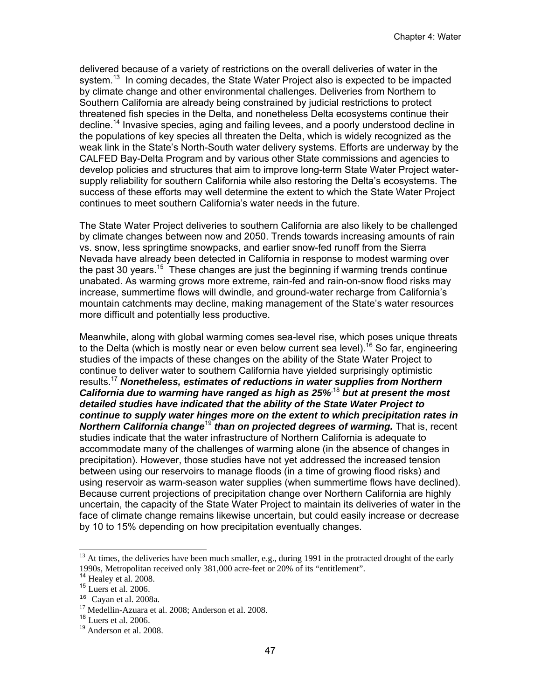delivered because of a variety of restrictions on the overall deliveries of water in the system.<sup>13</sup> In coming decades, the State Water Project also is expected to be impacted by climate change and other environmental challenges. Deliveries from Northern to Southern California are already being constrained by judicial restrictions to protect threatened fish species in the Delta, and nonetheless Delta ecosystems continue their decline.14 Invasive species, aging and failing levees, and a poorly understood decline in the populations of key species all threaten the Delta, which is widely recognized as the weak link in the State's North-South water delivery systems. Efforts are underway by the CALFED Bay-Delta Program and by various other State commissions and agencies to develop policies and structures that aim to improve long-term State Water Project watersupply reliability for southern California while also restoring the Delta's ecosystems. The success of these efforts may well determine the extent to which the State Water Project continues to meet southern California's water needs in the future.

The State Water Project deliveries to southern California are also likely to be challenged by climate changes between now and 2050. Trends towards increasing amounts of rain vs. snow, less springtime snowpacks, and earlier snow-fed runoff from the Sierra Nevada have already been detected in California in response to modest warming over the past 30 years.<sup>15</sup> These changes are just the beginning if warming trends continue unabated. As warming grows more extreme, rain-fed and rain-on-snow flood risks may increase, summertime flows will dwindle, and ground-water recharge from California's mountain catchments may decline, making management of the State's water resources more difficult and potentially less productive.

Meanwhile, along with global warming comes sea-level rise, which poses unique threats to the Delta (which is mostly near or even below current sea level).<sup>16</sup> So far, engineering studies of the impacts of these changes on the ability of the State Water Project to continue to deliver water to southern California have yielded surprisingly optimistic results.17 *Nonetheless, estimates of reductions in water supplies from Northern California due to warming have ranged as high as 25%*,18 *but at present the most detailed studies have indicated that the ability of the State Water Project to continue to supply water hinges more on the extent to which precipitation rates in*  **Northern California change<sup>19</sup> than on projected degrees of warming.** That is, recent studies indicate that the water infrastructure of Northern California is adequate to accommodate many of the challenges of warming alone (in the absence of changes in precipitation). However, those studies have not yet addressed the increased tension between using our reservoirs to manage floods (in a time of growing flood risks) and using reservoir as warm-season water supplies (when summertime flows have declined). Because current projections of precipitation change over Northern California are highly uncertain, the capacity of the State Water Project to maintain its deliveries of water in the face of climate change remains likewise uncertain, but could easily increase or decrease by 10 to 15% depending on how precipitation eventually changes.

-

 $13$  At times, the deliveries have been much smaller, e.g., during 1991 in the protracted drought of the early 1990s, Metropolitan received only 381,000 acre-feet or 20% of its "entitlement".

<sup>&</sup>lt;sup>14</sup> Healey et al. 2008.<br><sup>15</sup> Luers et al. 2006.

 $16$  Cayan et al. 2008a.

 $^{17}$  Medellin-Azuara et al. 2008; Anderson et al. 2008.<br><sup>18</sup> Luers et al. 2006.

 $19$  Anderson et al. 2008.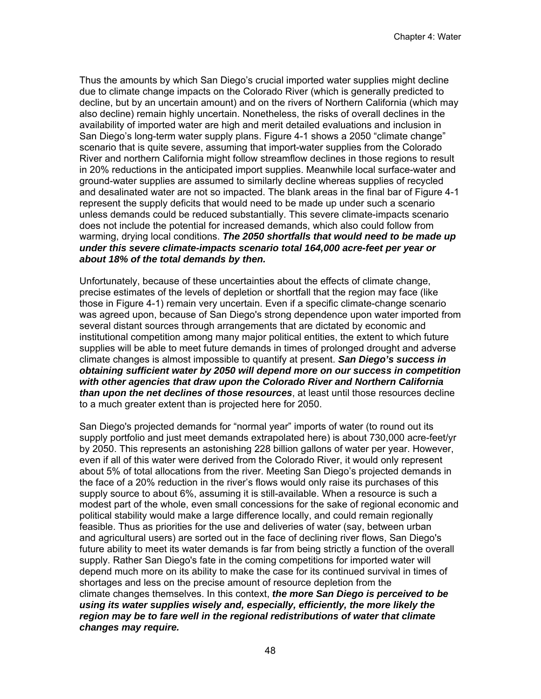Thus the amounts by which San Diego's crucial imported water supplies might decline due to climate change impacts on the Colorado River (which is generally predicted to decline, but by an uncertain amount) and on the rivers of Northern California (which may also decline) remain highly uncertain. Nonetheless, the risks of overall declines in the availability of imported water are high and merit detailed evaluations and inclusion in San Diego's long-term water supply plans. Figure 4-1 shows a 2050 "climate change" scenario that is quite severe, assuming that import-water supplies from the Colorado River and northern California might follow streamflow declines in those regions to result in 20% reductions in the anticipated import supplies. Meanwhile local surface-water and ground-water supplies are assumed to similarly decline whereas supplies of recycled and desalinated water are not so impacted. The blank areas in the final bar of Figure 4-1 represent the supply deficits that would need to be made up under such a scenario unless demands could be reduced substantially. This severe climate-impacts scenario does not include the potential for increased demands, which also could follow from warming, drying local conditions. *The 2050 shortfalls that would need to be made up under this severe climate-impacts scenario total 164,000 acre-feet per year or about 18% of the total demands by then.* 

Unfortunately, because of these uncertainties about the effects of climate change, precise estimates of the levels of depletion or shortfall that the region may face (like those in Figure 4-1) remain very uncertain. Even if a specific climate-change scenario was agreed upon, because of San Diego's strong dependence upon water imported from several distant sources through arrangements that are dictated by economic and institutional competition among many major political entities, the extent to which future supplies will be able to meet future demands in times of prolonged drought and adverse climate changes is almost impossible to quantify at present. *San Diego's success in obtaining sufficient water by 2050 will depend more on our success in competition with other agencies that draw upon the Colorado River and Northern California than upon the net declines of those resources*, at least until those resources decline to a much greater extent than is projected here for 2050.

San Diego's projected demands for "normal year" imports of water (to round out its supply portfolio and just meet demands extrapolated here) is about 730,000 acre-feet/yr by 2050. This represents an astonishing 228 billion gallons of water per year. However, even if all of this water were derived from the Colorado River, it would only represent about 5% of total allocations from the river. Meeting San Diego's projected demands in the face of a 20% reduction in the river's flows would only raise its purchases of this supply source to about 6%, assuming it is still-available. When a resource is such a modest part of the whole, even small concessions for the sake of regional economic and political stability would make a large difference locally, and could remain regionally feasible. Thus as priorities for the use and deliveries of water (say, between urban and agricultural users) are sorted out in the face of declining river flows, San Diego's future ability to meet its water demands is far from being strictly a function of the overall supply. Rather San Diego's fate in the coming competitions for imported water will depend much more on its ability to make the case for its continued survival in times of shortages and less on the precise amount of resource depletion from the climate changes themselves. In this context, *the more San Diego is perceived to be using its water supplies wisely and, especially, efficiently, the more likely the region may be to fare well in the regional redistributions of water that climate changes may require.*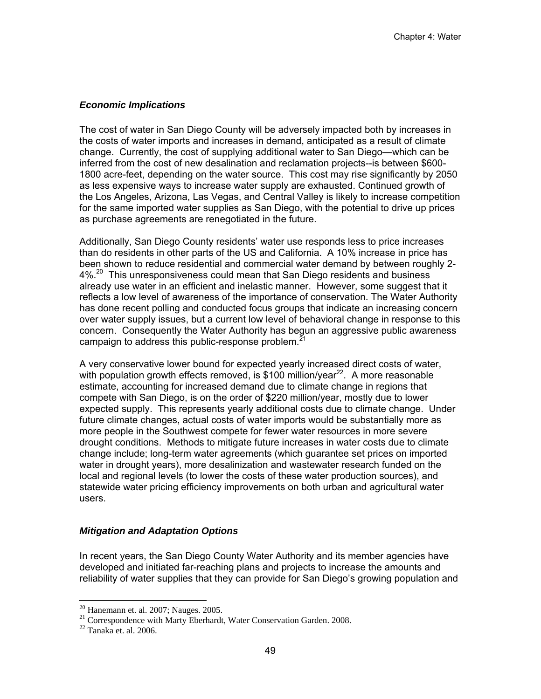### *Economic Implications*

The cost of water in San Diego County will be adversely impacted both by increases in the costs of water imports and increases in demand, anticipated as a result of climate change. Currently, the cost of supplying additional water to San Diego—which can be inferred from the cost of new desalination and reclamation projects--is between \$600- 1800 acre-feet, depending on the water source. This cost may rise significantly by 2050 as less expensive ways to increase water supply are exhausted. Continued growth of the Los Angeles, Arizona, Las Vegas, and Central Valley is likely to increase competition for the same imported water supplies as San Diego, with the potential to drive up prices as purchase agreements are renegotiated in the future.

Additionally, San Diego County residents' water use responds less to price increases than do residents in other parts of the US and California. A 10% increase in price has been shown to reduce residential and commercial water demand by between roughly 2-  $4\%$ <sup>20</sup> This unresponsiveness could mean that San Diego residents and business already use water in an efficient and inelastic manner. However, some suggest that it reflects a low level of awareness of the importance of conservation. The Water Authority has done recent polling and conducted focus groups that indicate an increasing concern over water supply issues, but a current low level of behavioral change in response to this concern. Consequently the Water Authority has begun an aggressive public awareness campaign to address this public-response problem.<sup>21</sup>

A very conservative lower bound for expected yearly increased direct costs of water, with population growth effects removed, is \$100 million/year<sup>22</sup>. A more reasonable estimate, accounting for increased demand due to climate change in regions that compete with San Diego, is on the order of \$220 million/year, mostly due to lower expected supply. This represents yearly additional costs due to climate change. Under future climate changes, actual costs of water imports would be substantially more as more people in the Southwest compete for fewer water resources in more severe drought conditions. Methods to mitigate future increases in water costs due to climate change include; long-term water agreements (which guarantee set prices on imported water in drought years), more desalinization and wastewater research funded on the local and regional levels (to lower the costs of these water production sources), and statewide water pricing efficiency improvements on both urban and agricultural water users.

# *Mitigation and Adaptation Options*

In recent years, the San Diego County Water Authority and its member agencies have developed and initiated far-reaching plans and projects to increase the amounts and reliability of water supplies that they can provide for San Diego's growing population and

 $20$  Hanemann et. al. 2007; Nauges. 2005.

<sup>&</sup>lt;sup>21</sup> Correspondence with Marty Eberhardt, Water Conservation Garden. 2008.<br><sup>22</sup> Tanaka et. al. 2006.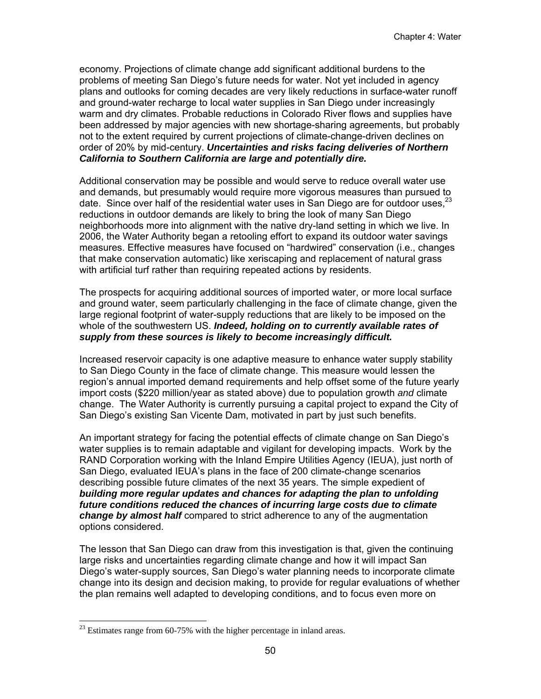economy. Projections of climate change add significant additional burdens to the problems of meeting San Diego's future needs for water. Not yet included in agency plans and outlooks for coming decades are very likely reductions in surface-water runoff and ground-water recharge to local water supplies in San Diego under increasingly warm and dry climates. Probable reductions in Colorado River flows and supplies have been addressed by major agencies with new shortage-sharing agreements, but probably not to the extent required by current projections of climate-change-driven declines on order of 20% by mid-century. *Uncertainties and risks facing deliveries of Northern California to Southern California are large and potentially dire.*

Additional conservation may be possible and would serve to reduce overall water use and demands, but presumably would require more vigorous measures than pursued to date. Since over half of the residential water uses in San Diego are for outdoor uses.<sup>23</sup> reductions in outdoor demands are likely to bring the look of many San Diego neighborhoods more into alignment with the native dry-land setting in which we live. In 2006, the Water Authority began a retooling effort to expand its outdoor water savings measures. Effective measures have focused on "hardwired" conservation (i.e., changes that make conservation automatic) like xeriscaping and replacement of natural grass with artificial turf rather than requiring repeated actions by residents.

The prospects for acquiring additional sources of imported water, or more local surface and ground water, seem particularly challenging in the face of climate change, given the large regional footprint of water-supply reductions that are likely to be imposed on the whole of the southwestern US. *Indeed, holding on to currently available rates of supply from these sources is likely to become increasingly difficult.*

Increased reservoir capacity is one adaptive measure to enhance water supply stability to San Diego County in the face of climate change. This measure would lessen the region's annual imported demand requirements and help offset some of the future yearly import costs (\$220 million/year as stated above) due to population growth *and* climate change. The Water Authority is currently pursuing a capital project to expand the City of San Diego's existing San Vicente Dam, motivated in part by just such benefits.

An important strategy for facing the potential effects of climate change on San Diego's water supplies is to remain adaptable and vigilant for developing impacts. Work by the RAND Corporation working with the Inland Empire Utilities Agency (IEUA), just north of San Diego, evaluated IEUA's plans in the face of 200 climate-change scenarios describing possible future climates of the next 35 years. The simple expedient of *building more regular updates and chances for adapting the plan to unfolding future conditions reduced the chances of incurring large costs due to climate change by almost half* compared to strict adherence to any of the augmentation options considered.

The lesson that San Diego can draw from this investigation is that, given the continuing large risks and uncertainties regarding climate change and how it will impact San Diego's water-supply sources, San Diego's water planning needs to incorporate climate change into its design and decision making, to provide for regular evaluations of whether the plan remains well adapted to developing conditions, and to focus even more on

 $^{23}$  Estimates range from 60-75% with the higher percentage in inland areas.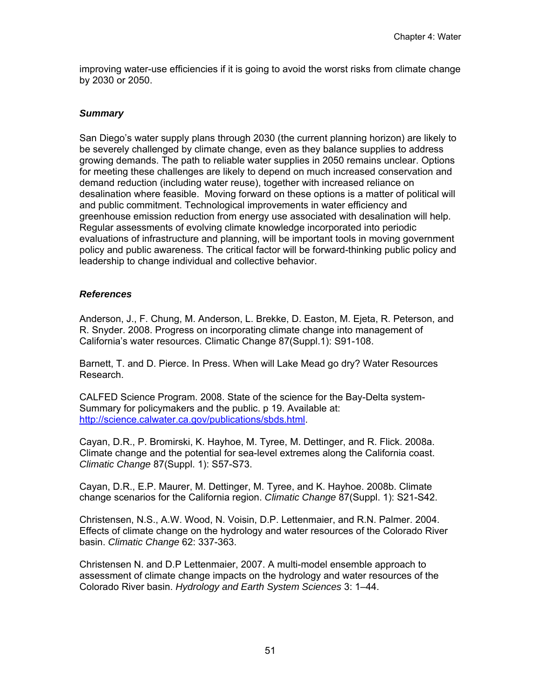improving water-use efficiencies if it is going to avoid the worst risks from climate change by 2030 or 2050.

# *Summary*

San Diego's water supply plans through 2030 (the current planning horizon) are likely to be severely challenged by climate change, even as they balance supplies to address growing demands. The path to reliable water supplies in 2050 remains unclear. Options for meeting these challenges are likely to depend on much increased conservation and demand reduction (including water reuse), together with increased reliance on desalination where feasible. Moving forward on these options is a matter of political will and public commitment. Technological improvements in water efficiency and greenhouse emission reduction from energy use associated with desalination will help. Regular assessments of evolving climate knowledge incorporated into periodic evaluations of infrastructure and planning, will be important tools in moving government policy and public awareness. The critical factor will be forward-thinking public policy and leadership to change individual and collective behavior.

# *References*

Anderson, J., F. Chung, M. Anderson, L. Brekke, D. Easton, M. Ejeta, R. Peterson, and R. Snyder. 2008. Progress on incorporating climate change into management of California's water resources. Climatic Change 87(Suppl.1): S91-108.

Barnett, T. and D. Pierce. In Press. When will Lake Mead go dry? Water Resources Research.

CALFED Science Program. 2008. State of the science for the Bay-Delta system-Summary for policymakers and the public. p 19. Available at: http://science.calwater.ca.gov/publications/sbds.html.

Cayan, D.R., P. Bromirski, K. Hayhoe, M. Tyree, M. Dettinger, and R. Flick. 2008a. Climate change and the potential for sea-level extremes along the California coast. *Climatic Change* 87(Suppl. 1): S57-S73.

Cayan, D.R., E.P. Maurer, M. Dettinger, M. Tyree, and K. Hayhoe. 2008b. Climate change scenarios for the California region. *Climatic Change* 87(Suppl. 1): S21-S42.

Christensen, N.S., A.W. Wood, N. Voisin, D.P. Lettenmaier, and R.N. Palmer. 2004. Effects of climate change on the hydrology and water resources of the Colorado River basin. *Climatic Change* 62: 337-363.

Christensen N. and D.P Lettenmaier, 2007. A multi-model ensemble approach to assessment of climate change impacts on the hydrology and water resources of the Colorado River basin. *Hydrology and Earth System Sciences* 3: 1–44.